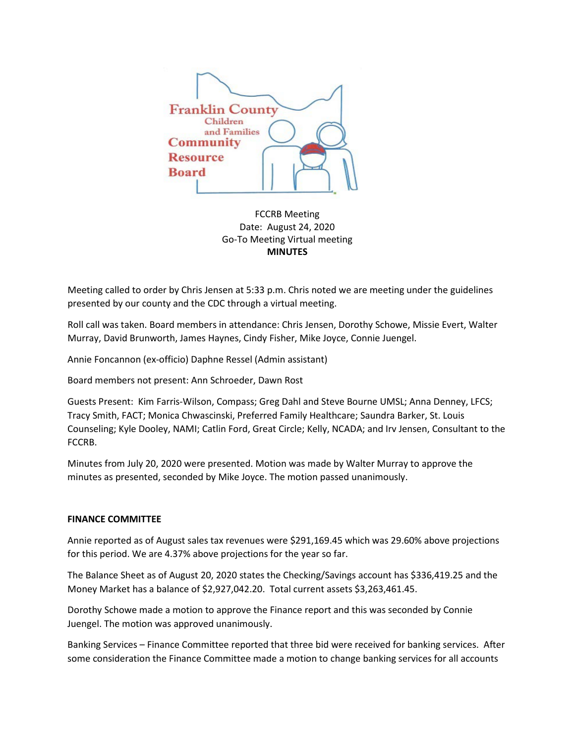

FCCRB Meeting Date: August 24, 2020 Go-To Meeting Virtual meeting **MINUTES**

Meeting called to order by Chris Jensen at 5:33 p.m. Chris noted we are meeting under the guidelines presented by our county and the CDC through a virtual meeting.

Roll call was taken. Board members in attendance: Chris Jensen, Dorothy Schowe, Missie Evert, Walter Murray, David Brunworth, James Haynes, Cindy Fisher, Mike Joyce, Connie Juengel.

Annie Foncannon (ex-officio) Daphne Ressel (Admin assistant)

Board members not present: Ann Schroeder, Dawn Rost

Guests Present: Kim Farris-Wilson, Compass; Greg Dahl and Steve Bourne UMSL; Anna Denney, LFCS; Tracy Smith, FACT; Monica Chwascinski, Preferred Family Healthcare; Saundra Barker, St. Louis Counseling; Kyle Dooley, NAMI; Catlin Ford, Great Circle; Kelly, NCADA; and Irv Jensen, Consultant to the FCCRB.

Minutes from July 20, 2020 were presented. Motion was made by Walter Murray to approve the minutes as presented, seconded by Mike Joyce. The motion passed unanimously.

### **FINANCE COMMITTEE**

Annie reported as of August sales tax revenues were \$291,169.45 which was 29.60% above projections for this period. We are 4.37% above projections for the year so far.

The Balance Sheet as of August 20, 2020 states the Checking/Savings account has \$336,419.25 and the Money Market has a balance of \$2,927,042.20. Total current assets \$3,263,461.45.

Dorothy Schowe made a motion to approve the Finance report and this was seconded by Connie Juengel. The motion was approved unanimously.

Banking Services – Finance Committee reported that three bid were received for banking services. After some consideration the Finance Committee made a motion to change banking services for all accounts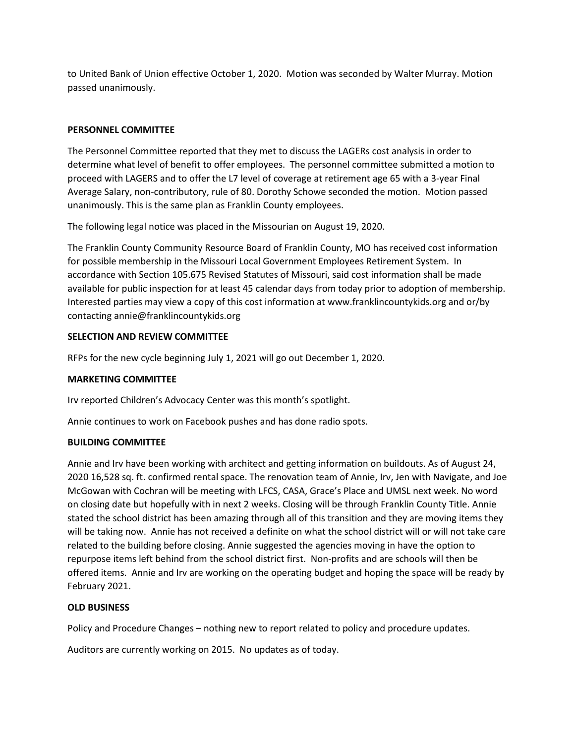to United Bank of Union effective October 1, 2020. Motion was seconded by Walter Murray. Motion passed unanimously.

# **PERSONNEL COMMITTEE**

The Personnel Committee reported that they met to discuss the LAGERs cost analysis in order to determine what level of benefit to offer employees. The personnel committee submitted a motion to proceed with LAGERS and to offer the L7 level of coverage at retirement age 65 with a 3-year Final Average Salary, non-contributory, rule of 80. Dorothy Schowe seconded the motion. Motion passed unanimously. This is the same plan as Franklin County employees.

The following legal notice was placed in the Missourian on August 19, 2020.

The Franklin County Community Resource Board of Franklin County, MO has received cost information for possible membership in the Missouri Local Government Employees Retirement System. In accordance with Section 105.675 Revised Statutes of Missouri, said cost information shall be made available for public inspection for at least 45 calendar days from today prior to adoption of membership. Interested parties may view a copy of this cost information at www.franklincountykids.org and or/by contacting annie@franklincountykids.org

# **SELECTION AND REVIEW COMMITTEE**

RFPs for the new cycle beginning July 1, 2021 will go out December 1, 2020.

## **MARKETING COMMITTEE**

Irv reported Children's Advocacy Center was this month's spotlight.

Annie continues to work on Facebook pushes and has done radio spots.

## **BUILDING COMMITTEE**

Annie and Irv have been working with architect and getting information on buildouts. As of August 24, 2020 16,528 sq. ft. confirmed rental space. The renovation team of Annie, Irv, Jen with Navigate, and Joe McGowan with Cochran will be meeting with LFCS, CASA, Grace's Place and UMSL next week. No word on closing date but hopefully with in next 2 weeks. Closing will be through Franklin County Title. Annie stated the school district has been amazing through all of this transition and they are moving items they will be taking now. Annie has not received a definite on what the school district will or will not take care related to the building before closing. Annie suggested the agencies moving in have the option to repurpose items left behind from the school district first. Non-profits and are schools will then be offered items. Annie and Irv are working on the operating budget and hoping the space will be ready by February 2021.

## **OLD BUSINESS**

Policy and Procedure Changes – nothing new to report related to policy and procedure updates.

Auditors are currently working on 2015. No updates as of today.